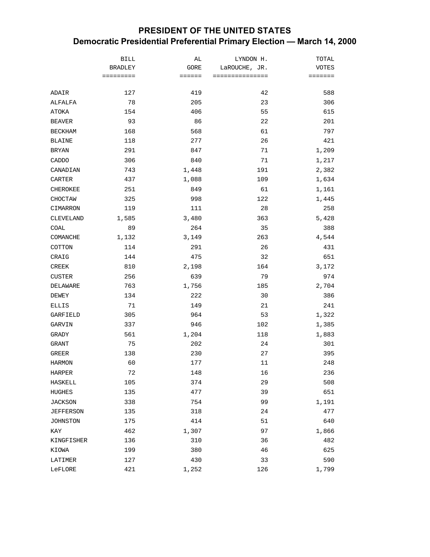## **PRESIDENT OF THE UNITED STATES Democratic Presidential Preferential Primary Election — March 14, 2000**

| <b>BRADLEY</b><br>LaROUCHE, JR.<br><b>VOTES</b><br>GORE<br>===============<br>=========<br>$=$ = = = = =<br>=======<br>127<br>42<br>419<br>588<br>ADAIR<br>78<br>205<br>23<br>306<br>ALFALFA<br>406<br>55<br>615<br>154<br>ATOKA<br>93<br>86<br>22<br>201<br><b>BEAVER</b><br>168<br>568<br>61<br>797<br><b>BECKHAM</b><br>26<br><b>BLAINE</b><br>118<br>277<br>421<br>1,209<br><b>BRYAN</b><br>291<br>847<br>71<br>306<br>CADDO<br>840<br>71<br>1,217<br>743<br>191<br>CANADIAN<br>1,448<br>2,382<br>CARTER<br>437<br>1,088<br>109<br>1,634<br>CHEROKEE<br>251<br>849<br>61<br>1,161<br>325<br>998<br>122<br>1,445<br>CHOCTAW<br>119<br>111<br>28<br>258<br>CIMARRON<br>5,428<br>1,585<br>3,480<br>363<br>CLEVELAND<br>89<br>264<br>388<br>COAL<br>35<br>COMANCHE<br>1,132<br>3,149<br>263<br>4,544<br>COTTON<br>114<br>291<br>26<br>431<br>475<br>32<br>CRAIG<br>144<br>651<br><b>CREEK</b><br>810<br>2,198<br>164<br>3,172<br>256<br>79<br>974<br><b>CUSTER</b><br>639<br>DELAWARE<br>763<br>1,756<br>185<br>2,704<br>222<br>134<br>30<br>386<br>DEWEY<br>71<br>149<br>21<br>241<br>ELLIS | <b>BILL</b> | AL | LYNDON H. | TOTAL |
|----------------------------------------------------------------------------------------------------------------------------------------------------------------------------------------------------------------------------------------------------------------------------------------------------------------------------------------------------------------------------------------------------------------------------------------------------------------------------------------------------------------------------------------------------------------------------------------------------------------------------------------------------------------------------------------------------------------------------------------------------------------------------------------------------------------------------------------------------------------------------------------------------------------------------------------------------------------------------------------------------------------------------------------------------------------------------------------------|-------------|----|-----------|-------|
|                                                                                                                                                                                                                                                                                                                                                                                                                                                                                                                                                                                                                                                                                                                                                                                                                                                                                                                                                                                                                                                                                              |             |    |           |       |
|                                                                                                                                                                                                                                                                                                                                                                                                                                                                                                                                                                                                                                                                                                                                                                                                                                                                                                                                                                                                                                                                                              |             |    |           |       |
|                                                                                                                                                                                                                                                                                                                                                                                                                                                                                                                                                                                                                                                                                                                                                                                                                                                                                                                                                                                                                                                                                              |             |    |           |       |
|                                                                                                                                                                                                                                                                                                                                                                                                                                                                                                                                                                                                                                                                                                                                                                                                                                                                                                                                                                                                                                                                                              |             |    |           |       |
|                                                                                                                                                                                                                                                                                                                                                                                                                                                                                                                                                                                                                                                                                                                                                                                                                                                                                                                                                                                                                                                                                              |             |    |           |       |
|                                                                                                                                                                                                                                                                                                                                                                                                                                                                                                                                                                                                                                                                                                                                                                                                                                                                                                                                                                                                                                                                                              |             |    |           |       |
|                                                                                                                                                                                                                                                                                                                                                                                                                                                                                                                                                                                                                                                                                                                                                                                                                                                                                                                                                                                                                                                                                              |             |    |           |       |
|                                                                                                                                                                                                                                                                                                                                                                                                                                                                                                                                                                                                                                                                                                                                                                                                                                                                                                                                                                                                                                                                                              |             |    |           |       |
|                                                                                                                                                                                                                                                                                                                                                                                                                                                                                                                                                                                                                                                                                                                                                                                                                                                                                                                                                                                                                                                                                              |             |    |           |       |
|                                                                                                                                                                                                                                                                                                                                                                                                                                                                                                                                                                                                                                                                                                                                                                                                                                                                                                                                                                                                                                                                                              |             |    |           |       |
|                                                                                                                                                                                                                                                                                                                                                                                                                                                                                                                                                                                                                                                                                                                                                                                                                                                                                                                                                                                                                                                                                              |             |    |           |       |
|                                                                                                                                                                                                                                                                                                                                                                                                                                                                                                                                                                                                                                                                                                                                                                                                                                                                                                                                                                                                                                                                                              |             |    |           |       |
|                                                                                                                                                                                                                                                                                                                                                                                                                                                                                                                                                                                                                                                                                                                                                                                                                                                                                                                                                                                                                                                                                              |             |    |           |       |
|                                                                                                                                                                                                                                                                                                                                                                                                                                                                                                                                                                                                                                                                                                                                                                                                                                                                                                                                                                                                                                                                                              |             |    |           |       |
|                                                                                                                                                                                                                                                                                                                                                                                                                                                                                                                                                                                                                                                                                                                                                                                                                                                                                                                                                                                                                                                                                              |             |    |           |       |
|                                                                                                                                                                                                                                                                                                                                                                                                                                                                                                                                                                                                                                                                                                                                                                                                                                                                                                                                                                                                                                                                                              |             |    |           |       |
|                                                                                                                                                                                                                                                                                                                                                                                                                                                                                                                                                                                                                                                                                                                                                                                                                                                                                                                                                                                                                                                                                              |             |    |           |       |
|                                                                                                                                                                                                                                                                                                                                                                                                                                                                                                                                                                                                                                                                                                                                                                                                                                                                                                                                                                                                                                                                                              |             |    |           |       |
|                                                                                                                                                                                                                                                                                                                                                                                                                                                                                                                                                                                                                                                                                                                                                                                                                                                                                                                                                                                                                                                                                              |             |    |           |       |
|                                                                                                                                                                                                                                                                                                                                                                                                                                                                                                                                                                                                                                                                                                                                                                                                                                                                                                                                                                                                                                                                                              |             |    |           |       |
|                                                                                                                                                                                                                                                                                                                                                                                                                                                                                                                                                                                                                                                                                                                                                                                                                                                                                                                                                                                                                                                                                              |             |    |           |       |
|                                                                                                                                                                                                                                                                                                                                                                                                                                                                                                                                                                                                                                                                                                                                                                                                                                                                                                                                                                                                                                                                                              |             |    |           |       |
|                                                                                                                                                                                                                                                                                                                                                                                                                                                                                                                                                                                                                                                                                                                                                                                                                                                                                                                                                                                                                                                                                              |             |    |           |       |
|                                                                                                                                                                                                                                                                                                                                                                                                                                                                                                                                                                                                                                                                                                                                                                                                                                                                                                                                                                                                                                                                                              |             |    |           |       |
|                                                                                                                                                                                                                                                                                                                                                                                                                                                                                                                                                                                                                                                                                                                                                                                                                                                                                                                                                                                                                                                                                              |             |    |           |       |
|                                                                                                                                                                                                                                                                                                                                                                                                                                                                                                                                                                                                                                                                                                                                                                                                                                                                                                                                                                                                                                                                                              |             |    |           |       |
| GARFIELD<br>305<br>964<br>53<br>1,322                                                                                                                                                                                                                                                                                                                                                                                                                                                                                                                                                                                                                                                                                                                                                                                                                                                                                                                                                                                                                                                        |             |    |           |       |
| 1,385<br>GARVIN<br>337<br>946<br>102                                                                                                                                                                                                                                                                                                                                                                                                                                                                                                                                                                                                                                                                                                                                                                                                                                                                                                                                                                                                                                                         |             |    |           |       |
| GRADY<br>561<br>1,204<br>118<br>1,883                                                                                                                                                                                                                                                                                                                                                                                                                                                                                                                                                                                                                                                                                                                                                                                                                                                                                                                                                                                                                                                        |             |    |           |       |
| 75<br>GRANT<br>202<br>24<br>301                                                                                                                                                                                                                                                                                                                                                                                                                                                                                                                                                                                                                                                                                                                                                                                                                                                                                                                                                                                                                                                              |             |    |           |       |
| 230<br>395<br><b>GREER</b><br>138<br>27                                                                                                                                                                                                                                                                                                                                                                                                                                                                                                                                                                                                                                                                                                                                                                                                                                                                                                                                                                                                                                                      |             |    |           |       |
| 60<br>11<br><b>HARMON</b><br>177<br>248                                                                                                                                                                                                                                                                                                                                                                                                                                                                                                                                                                                                                                                                                                                                                                                                                                                                                                                                                                                                                                                      |             |    |           |       |
| HARPER<br>72<br>148<br>16<br>236                                                                                                                                                                                                                                                                                                                                                                                                                                                                                                                                                                                                                                                                                                                                                                                                                                                                                                                                                                                                                                                             |             |    |           |       |
| 29<br>508<br><b>HASKELL</b><br>105<br>374                                                                                                                                                                                                                                                                                                                                                                                                                                                                                                                                                                                                                                                                                                                                                                                                                                                                                                                                                                                                                                                    |             |    |           |       |
| 135<br>477<br>39<br>651<br><b>HUGHES</b>                                                                                                                                                                                                                                                                                                                                                                                                                                                                                                                                                                                                                                                                                                                                                                                                                                                                                                                                                                                                                                                     |             |    |           |       |
| 338<br>754<br>99<br>1,191<br><b>JACKSON</b>                                                                                                                                                                                                                                                                                                                                                                                                                                                                                                                                                                                                                                                                                                                                                                                                                                                                                                                                                                                                                                                  |             |    |           |       |
| 477<br>135<br>318<br>24<br><b>JEFFERSON</b>                                                                                                                                                                                                                                                                                                                                                                                                                                                                                                                                                                                                                                                                                                                                                                                                                                                                                                                                                                                                                                                  |             |    |           |       |
| 175<br>414<br>51<br>640<br><b>JOHNSTON</b>                                                                                                                                                                                                                                                                                                                                                                                                                                                                                                                                                                                                                                                                                                                                                                                                                                                                                                                                                                                                                                                   |             |    |           |       |
| 97<br>462<br>1,307<br>1,866<br>KAY                                                                                                                                                                                                                                                                                                                                                                                                                                                                                                                                                                                                                                                                                                                                                                                                                                                                                                                                                                                                                                                           |             |    |           |       |
| 136<br>310<br>36<br>482<br>KINGFISHER                                                                                                                                                                                                                                                                                                                                                                                                                                                                                                                                                                                                                                                                                                                                                                                                                                                                                                                                                                                                                                                        |             |    |           |       |
| 380<br>625<br>KIOWA<br>199<br>46                                                                                                                                                                                                                                                                                                                                                                                                                                                                                                                                                                                                                                                                                                                                                                                                                                                                                                                                                                                                                                                             |             |    |           |       |
| 127<br>430<br>33<br>590<br>LATIMER                                                                                                                                                                                                                                                                                                                                                                                                                                                                                                                                                                                                                                                                                                                                                                                                                                                                                                                                                                                                                                                           |             |    |           |       |
| 421<br>1,252<br>126<br>1,799<br>LeFLORE                                                                                                                                                                                                                                                                                                                                                                                                                                                                                                                                                                                                                                                                                                                                                                                                                                                                                                                                                                                                                                                      |             |    |           |       |